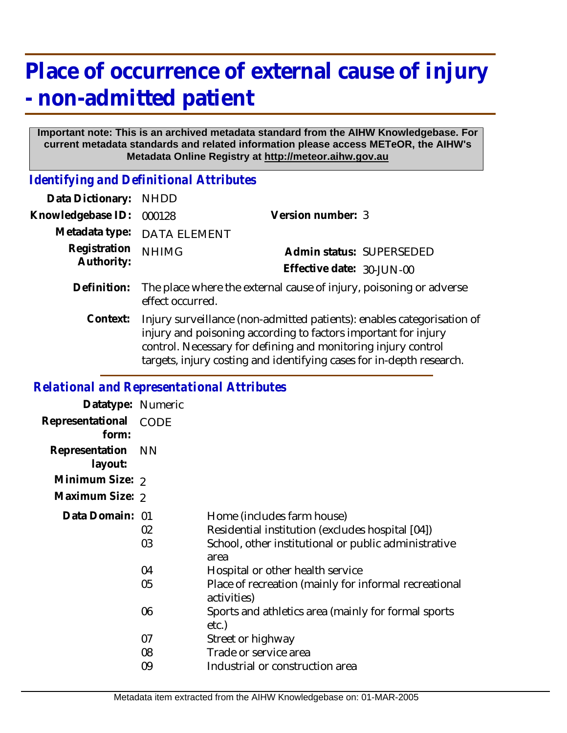# **Place of occurrence of external cause of injury - non-admitted patient**

#### **Important note: This is an archived metadata standard from the AIHW Knowledgebase. For current metadata standards and related information please access METeOR, the AIHW's Metadata Online Registry at http://meteor.aihw.gov.au**

*Identifying and Definitional Attributes*

| Data Dictionary:           | <b>NHDD</b>                                                                                                                                                                                                                                                                       |                           |  |
|----------------------------|-----------------------------------------------------------------------------------------------------------------------------------------------------------------------------------------------------------------------------------------------------------------------------------|---------------------------|--|
| Knowledgebase ID:          | 000128                                                                                                                                                                                                                                                                            | Version number: 3         |  |
| Metadata type:             | <b>DATA ELEMENT</b>                                                                                                                                                                                                                                                               |                           |  |
| Registration<br>Authority: | <b>NHIMG</b>                                                                                                                                                                                                                                                                      | Admin status: SUPERSEDED  |  |
|                            |                                                                                                                                                                                                                                                                                   | Effective date: 30-JUN-00 |  |
| Definition:                | The place where the external cause of injury, poisoning or adverse<br>effect occurred.                                                                                                                                                                                            |                           |  |
| Context:                   | Injury surveillance (non-admitted patients): enables categorisation of<br>injury and poisoning according to factors important for injury<br>control. Necessary for defining and monitoring injury control<br>targets, injury costing and identifying cases for in-depth research. |                           |  |

### *Relational and Representational Attributes*

| CODE           |                                                                                                                                                |
|----------------|------------------------------------------------------------------------------------------------------------------------------------------------|
|                |                                                                                                                                                |
|                |                                                                                                                                                |
|                |                                                                                                                                                |
| 02<br>03       | Home (includes farm house)<br>Residential institution (excludes hospital [04])<br>School, other institutional or public administrative<br>area |
| 04<br>05       | Hospital or other health service<br>Place of recreation (mainly for informal recreational<br>activities)                                       |
| 06             | Sports and athletics area (mainly for formal sports<br>etc.)                                                                                   |
| 07<br>08<br>09 | Street or highway<br>Trade or service area<br>Industrial or construction area                                                                  |
|                | Datatype: Numeric<br>– NN<br>Minimum Size: 2<br>Maximum Size: 2<br>Data Domain: 01                                                             |